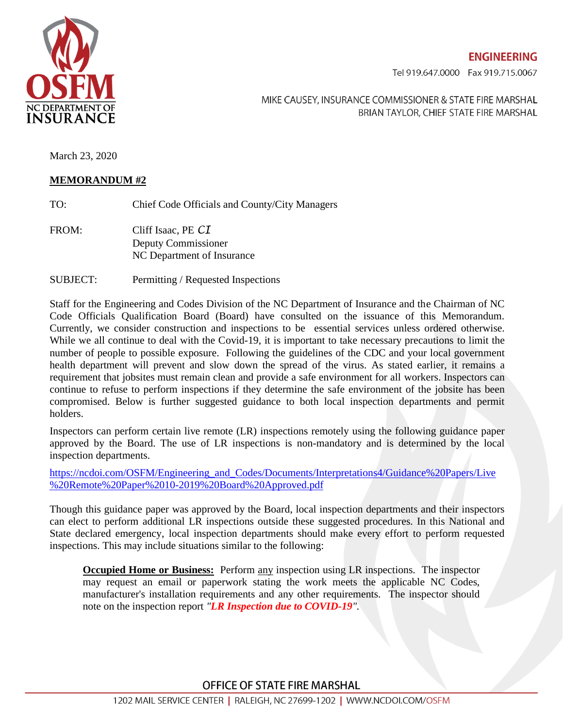

**ENGINEERING** 

Tel 919.647.0000 Fax 919.715.0067

MIKE CAUSEY, INSURANCE COMMISSIONER & STATE FIRE MARSHAL BRIAN TAYLOR, CHIEF STATE FIRE MARSHAL

March 23, 2020

## **MEMORANDUM #2**

- TO: Chief Code Officials and County/City Managers
- FROM: Cliff Isaac, PE *CI* Deputy Commissioner NC Department of Insurance
- SUBJECT: Permitting / Requested Inspections

Staff for the Engineering and Codes Division of the NC Department of Insurance and the Chairman of NC Code Officials Qualification Board (Board) have consulted on the issuance of this Memorandum. Currently, we consider construction and inspections to be essential services unless ordered otherwise. While we all continue to deal with the Covid-19, it is important to take necessary precautions to limit the number of people to possible exposure. Following the guidelines of the CDC and your local government health department will prevent and slow down the spread of the virus. As stated earlier, it remains a requirement that jobsites must remain clean and provide a safe environment for all workers. Inspectors can continue to refuse to perform inspections if they determine the safe environment of the jobsite has been compromised. Below is further suggested guidance to both local inspection departments and permit holders.

Inspectors can perform certain live remote (LR) inspections remotely using the following guidance paper approved by the Board. The use of LR inspections is non-mandatory and is determined by the local inspection departments.

[https://ncdoi.com/OSFM/Engineering\\_and\\_Codes/Documents/Interpretations4/Guidance%20Papers/Live](https://ncdoi.com/OSFM/Engineering_and_Codes/Documents/Interpretations4/Guidance%20Papers/Live%20Remote%20Paper%2010-2019%20Board%20Approved.pdf) [%20Remote%20Paper%2010-2019%20Board%20Approved.pdf](https://ncdoi.com/OSFM/Engineering_and_Codes/Documents/Interpretations4/Guidance%20Papers/Live%20Remote%20Paper%2010-2019%20Board%20Approved.pdf) 

Though this guidance paper was approved by the Board, local inspection departments and their inspectors can elect to perform additional LR inspections outside these suggested procedures. In this National and State declared emergency, local inspection departments should make every effort to perform requested inspections. This may include situations similar to the following:

**Occupied Home or Business:** Perform any inspection using LR inspections. The inspector may request an email or paperwork stating the work meets the applicable NC Codes, manufacturer's installation requirements and any other requirements. The inspector should note on the inspection report *"LR Inspection due to COVID-19".*